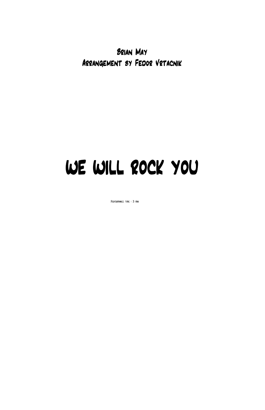Performance time : 3 min

## WE WILL ROCK YOU

Brian May Arrangement by Fedor Vrtacnik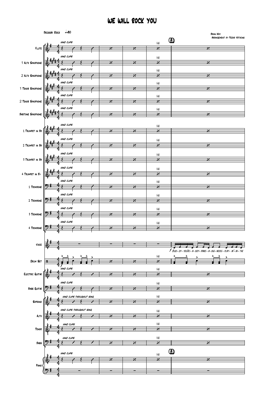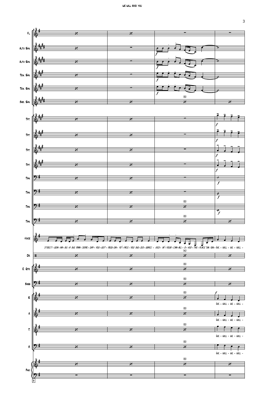

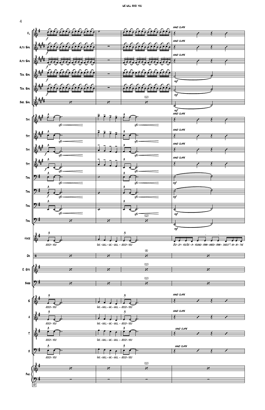

WE WILL ROCK YOU

4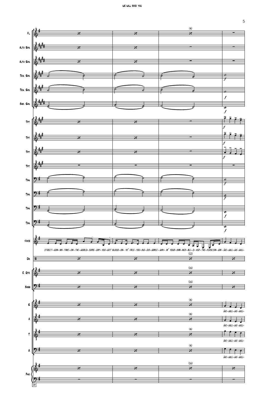

WE WILL ROCK YOU

5